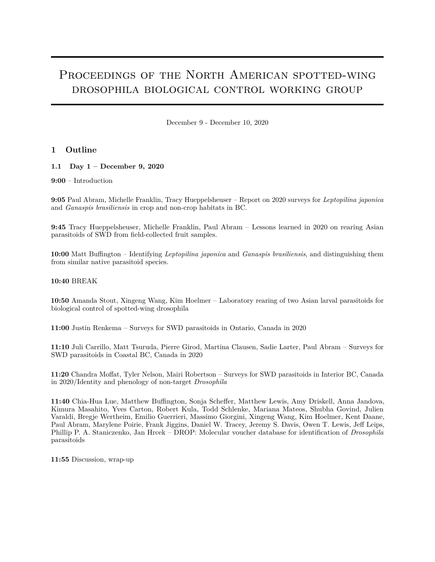# PROCEEDINGS OF THE NORTH AMERICAN SPOTTED-WING drosophila biological control working group

December 9 - December 10, 2020

# **1 Outline**

**1.1 Day 1 – December 9, 2020**

## **9:00** – Introduction

**9:05** Paul Abram, Michelle Franklin, Tracy Hueppelsheuser – Report on 2020 surveys for *Leptopilina japonica* and *Ganaspis brasiliensis* in crop and non-crop habitats in BC.

**9:45** Tracy Hueppelsheuser, Michelle Franklin, Paul Abram – Lessons learned in 2020 on rearing Asian parasitoids of SWD from field-collected fruit samples.

**10:00** Matt Buffington – Identifying *Leptopilina japonica* and *Ganaspis brasiliensis*, and distinguishing them from similar native parasitoid species.

# **10:40** BREAK

**10:50** Amanda Stout, Xingeng Wang, Kim Hoelmer – Laboratory rearing of two Asian larval parasitoids for biological control of spotted-wing drosophila

**11:00** Justin Renkema – Surveys for SWD parasitoids in Ontario, Canada in 2020

**11:10** Juli Carrillo, Matt Tsuruda, Pierre Girod, Martina Clausen, Sadie Larter, Paul Abram – Surveys for SWD parasitoids in Coastal BC, Canada in 2020

**11:20** Chandra Moffat, Tyler Nelson, Mairi Robertson – Surveys for SWD parasitoids in Interior BC, Canada in 2020/Identity and phenology of non-target *Drosophila*

**11:40** Chia-Hua Lue, Matthew Buffington, Sonja Scheffer, Matthew Lewis, Amy Driskell, Anna Jandova, Kimura Masahito, Yves Carton, Robert Kula, Todd Schlenke, Mariana Mateos, Shubha Govind, Julien Varaldi, Bregje Wertheim, Emilio Guerrieri, Massimo Giorgini, Xingeng Wang, Kim Hoelmer, Kent Daane, Paul Abram, Marylene Poirie, Frank Jiggins, Daniel W. Tracey, Jeremy S. Davis, Owen T. Lewis, Jeff Leips, Phillip P. A. Staniczenko, Jan Hrcek – DROP: Molecular voucher database for identification of *Drosophila* parasitoids

**11:55** Discussion, wrap-up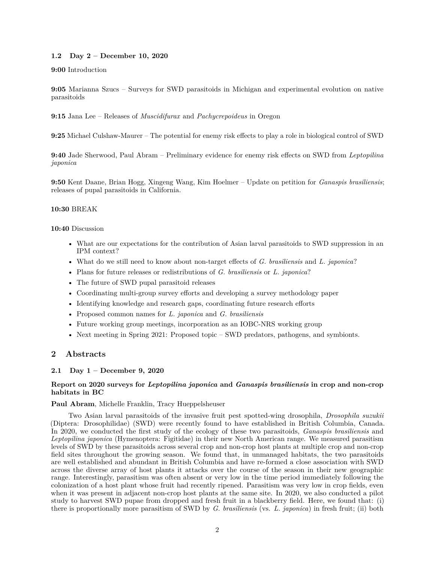# **1.2 Day 2 – December 10, 2020**

## **9:00** Introduction

**9:05** Marianna Szucs – Surveys for SWD parasitoids in Michigan and experimental evolution on native parasitoids

**9:15** Jana Lee – Releases of *Muscidifurax* and *Pachycrepoideus* in Oregon

**9:25** Michael Culshaw-Maurer – The potential for enemy risk effects to play a role in biological control of SWD

**9:40** Jade Sherwood, Paul Abram – Preliminary evidence for enemy risk effects on SWD from *Leptopilina japonica*

**9:50** Kent Daane, Brian Hogg, Xingeng Wang, Kim Hoelmer – Update on petition for *Ganaspis brasiliensis*; releases of pupal parasitoids in California.

## **10:30** BREAK

## **10:40** Discussion

- What are our expectations for the contribution of Asian larval parasitoids to SWD suppression in an IPM context?
- What do we still need to know about non-target effects of *G. brasiliensis* and *L. japonica*?
- Plans for future releases or redistributions of *G. brasiliensis* or *L. japonica*?
- The future of SWD pupal parasitoid releases
- Coordinating multi-group survey efforts and developing a survey methodology paper
- Identifying knowledge and research gaps, coordinating future research efforts
- Proposed common names for *L. japonica* and *G. brasiliensis*
- Future working group meetings, incorporation as an IOBC-NRS working group
- Next meeting in Spring 2021: Proposed topic SWD predators, pathogens, and symbionts.

# **2 Abstracts**

# **2.1 Day 1 – December 9, 2020**

# **Report on 2020 surveys for** *Leptopilina japonica* **and** *Ganaspis brasiliensis* **in crop and non-crop habitats in BC**

## **Paul Abram**, Michelle Franklin, Tracy Hueppelsheuser

Two Asian larval parasitoids of the invasive fruit pest spotted-wing drosophila, *Drosophila suzukii* (Diptera: Drosophilidae) (SWD) were recently found to have established in British Columbia, Canada. In 2020, we conducted the first study of the ecology of these two parasitoids, *Ganaspis brasiliensis* and *Leptopilina japonica* (Hymenoptera: Figitidae) in their new North American range. We measured parasitism levels of SWD by these parasitoids across several crop and non-crop host plants at multiple crop and non-crop field sites throughout the growing season. We found that, in unmanaged habitats, the two parasitoids are well established and abundant in British Columbia and have re-formed a close association with SWD across the diverse array of host plants it attacks over the course of the season in their new geographic range. Interestingly, parasitism was often absent or very low in the time period immediately following the colonization of a host plant whose fruit had recently ripened. Parasitism was very low in crop fields, even when it was present in adjacent non-crop host plants at the same site. In 2020, we also conducted a pilot study to harvest SWD pupae from dropped and fresh fruit in a blackberry field. Here, we found that: (i) there is proportionally more parasitism of SWD by *G. brasiliensis* (vs. *L. japonica*) in fresh fruit; (ii) both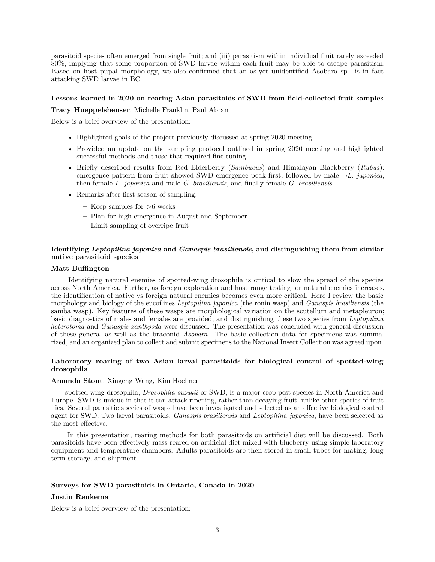parasitoid species often emerged from single fruit; and (iii) parasitism within individual fruit rarely exceeded 80%, implying that some proportion of SWD larvae within each fruit may be able to escape parasitism. Based on host pupal morphology, we also confirmed that an as-yet unidentified Asobara sp. is in fact attacking SWD larvae in BC.

#### **Lessons learned in 2020 on rearing Asian parasitoids of SWD from field-collected fruit samples**

**Tracy Hueppelsheuser**, Michelle Franklin, Paul Abram

Below is a brief overview of the presentation:

- Highlighted goals of the project previously discussed at spring 2020 meeting
- Provided an update on the sampling protocol outlined in spring 2020 meeting and highlighted successful methods and those that required fine tuning
- Briefly described results from Red Elderberry (*Sambucus*) and Himalayan Blackberry (*Rubus*): emergence pattern from fruit showed SWD emergence peak first, followed by male  $\neg L$ . *japonica*, then female *L. japonica* and male *G. brasiliensis*, and finally female *G. brasiliensis*
- Remarks after first season of sampling:
	- **–** Keep samples for >6 weeks
	- **–** Plan for high emergence in August and September
	- **–** Limit sampling of overripe fruit

# **Identifying** *Leptopilina japonica* **and** *Ganaspis brasiliensis***, and distinguishing them from similar native parasitoid species**

# **Matt Buffington**

Identifying natural enemies of spotted-wing drosophila is critical to slow the spread of the species across North America. Further, as foreign exploration and host range testing for natural enemies increases, the identification of native vs foreign natural enemies becomes even more critical. Here I review the basic morphology and biology of the eucoilines *Leptopilina japonica* (the ronin wasp) and *Ganaspis brasiliensis* (the samba wasp). Key features of these wasps are morphological variation on the scutellum and metapleuron; basic diagnostics of males and females are provided, and distinguishing these two species from *Leptopilina heterotoma* and *Ganaspis xanthpoda* were discussed. The presentation was concluded with general discussion of these genera, as well as the braconid *Asobara*. The basic collection data for specimens was summarized, and an organized plan to collect and submit specimens to the National Insect Collection was agreed upon.

## **Laboratory rearing of two Asian larval parasitoids for biological control of spotted-wing drosophila**

## **Amanda Stout**, Xingeng Wang, Kim Hoelmer

spotted-wing drosophila, *Drosophila suzukii* or SWD, is a major crop pest species in North America and Europe. SWD is unique in that it can attack ripening, rather than decaying fruit, unlike other species of fruit flies. Several parasitic species of wasps have been investigated and selected as an effective biological control agent for SWD. Two larval parasitoids, *Ganaspis brasiliensis* and *Leptopilina japonica*, have been selected as the most effective.

In this presentation, rearing methods for both parasitoids on artificial diet will be discussed. Both parasitoids have been effectively mass reared on artificial diet mixed with blueberry using simple laboratory equipment and temperature chambers. Adults parasitoids are then stored in small tubes for mating, long term storage, and shipment.

## **Surveys for SWD parasitoids in Ontario, Canada in 2020**

## **Justin Renkema**

Below is a brief overview of the presentation: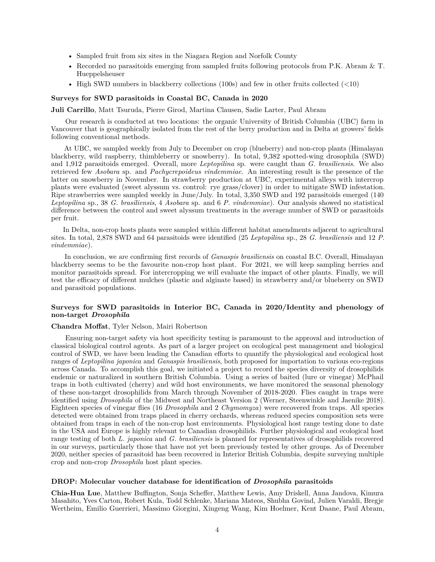- Sampled fruit from six sites in the Niagara Region and Norfolk County
- Recorded no parasitoids emerging from sampled fruits following protocols from P.K. Abram & T. Hueppelsheuser
- High SWD numbers in blackberry collections (100s) and few in other fruits collected  $(\leq 10)$

#### **Surveys for SWD parasitoids in Coastal BC, Canada in 2020**

**Juli Carrillo**, Matt Tsuruda, Pierre Girod, Martina Clausen, Sadie Larter, Paul Abram

Our research is conducted at two locations: the organic University of British Columbia (UBC) farm in Vancouver that is geographically isolated from the rest of the berry production and in Delta at growers' fields following conventional methods.

At UBC, we sampled weekly from July to December on crop (blueberry) and non-crop plants (Himalayan blackberry, wild raspberry, thimbleberry or snowberry). In total, 9,382 spotted-wing drosophila (SWD) and 1,912 parasitoids emerged. Overall, more *Leptopilina* sp. were caught than *G. brasiliensis*. We also retrieved few *Asobara* sp. and *Pachycrepoideus vindemmiae*. An interesting result is the presence of the latter on snowberry in November. In strawberry production at UBC, experimental alleys with intercrop plants were evaluated (sweet alyssum vs. control: rye grass/clover) in order to mitigate SWD infestation. Ripe strawberries were sampled weekly in June/July. In total, 3,350 SWD and 192 parasitoids emerged (140 *Leptopilina* sp., 38 *G. brasiliensis*, 4 *Asobara* sp. and 6 *P. vindemmiae*). Our analysis showed no statistical difference between the control and sweet alyssum treatments in the average number of SWD or parasitoids per fruit.

In Delta, non-crop hosts plants were sampled within different habitat amendments adjacent to agricultural sites. In total, 2,878 SWD and 64 parasitoids were identified (25 *Leptopilina* sp., 28 *G. brasiliensis* and 12 *P. vindemmiae*).

In conclusion, we are confirming first records of *Ganaspis brasiliensis* on coastal B.C. Overall, Himalayan blackberry seems to be the favourite non-crop host plant. For 2021, we will keep sampling berries and monitor parasitoids spread. For intercropping we will evaluate the impact of other plants. Finally, we will test the efficacy of different mulches (plastic and alginate based) in strawberry and/or blueberry on SWD and parasitoid populations.

# **Surveys for SWD parasitoids in Interior BC, Canada in 2020/Identity and phenology of non-target** *Drosophila*

#### **Chandra Moffat**, Tyler Nelson, Mairi Robertson

Ensuring non-target safety via host specificity testing is paramount to the approval and introduction of classical biological control agents. As part of a larger project on ecological pest management and biological control of SWD, we have been leading the Canadian efforts to quantify the physiological and ecological host ranges of *Leptopilina japonica* and *Ganaspis brasiliensis*, both proposed for importation to various eco-regions across Canada. To accomplish this goal, we initiated a project to record the species diversity of drosophilids endemic or naturalized in southern British Columbia. Using a series of baited (lure or vinegar) McPhail traps in both cultivated (cherry) and wild host environments, we have monitored the seasonal phenology of these non-target drosophilids from March through November of 2018-2020. Flies caught in traps were identified using *Drosophila* of the Midwest and Northeast Version 2 (Werner, Steenwinkle and Jaenike 2018). Eighteen species of vinegar flies (16 *Drosophila* and 2 *Chymomyza*) were recovered from traps. All species detected were obtained from traps placed in cherry orchards, whereas reduced species composition sets were obtained from traps in each of the non-crop host environments. Physiological host range testing done to date in the USA and Europe is highly relevant to Canadian drosophilids. Further physiological and ecological host range testing of both *L. japonica* and *G. brasiliensis* is planned for representatives of drosophilids recovered in our surveys, particularly those that have not yet been previously tested by other groups. As of December 2020, neither species of parasitoid has been recovered in Interior British Columbia, despite surveying multiple crop and non-crop *Drosophila* host plant species.

#### **DROP: Molecular voucher database for identification of** *Drosophila* **parasitoids**

**Chia-Hua Lue**, Matthew Buffington, Sonja Scheffer, Matthew Lewis, Amy Driskell, Anna Jandova, Kimura Masahito, Yves Carton, Robert Kula, Todd Schlenke, Mariana Mateos, Shubha Govind, Julien Varaldi, Bregje Wertheim, Emilio Guerrieri, Massimo Giorgini, Xingeng Wang, Kim Hoelmer, Kent Daane, Paul Abram,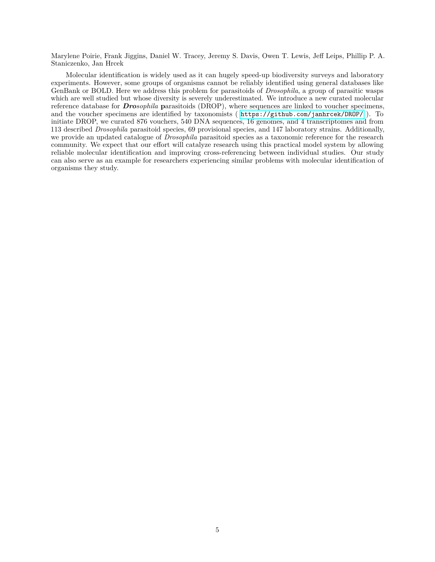Marylene Poirie, Frank Jiggins, Daniel W. Tracey, Jeremy S. Davis, Owen T. Lewis, Jeff Leips, Phillip P. A. Staniczenko, Jan Hrcek

Molecular identification is widely used as it can hugely speed-up biodiversity surveys and laboratory experiments. However, some groups of organisms cannot be reliably identified using general databases like GenBank or BOLD. Here we address this problem for parasitoids of *Drosophila*, a group of parasitic wasps which are well studied but whose diversity is severely underestimated. We introduce a new curated molecular reference database for *Drosophila* **p**arasitoids (DROP), where sequences are linked to voucher specimens, and the voucher specimens are identified by taxonomists ( <https://github.com/janhrcek/DROP/> ). To initiate DROP, we curated 876 vouchers, 540 DNA sequences, 16 genomes, and 4 transcriptomes and from 113 described *Drosophila* parasitoid species, 69 provisional species, and 147 laboratory strains. Additionally, we provide an updated catalogue of *Drosophila* parasitoid species as a taxonomic reference for the research community. We expect that our effort will catalyze research using this practical model system by allowing reliable molecular identification and improving cross-referencing between individual studies. Our study can also serve as an example for researchers experiencing similar problems with molecular identification of organisms they study.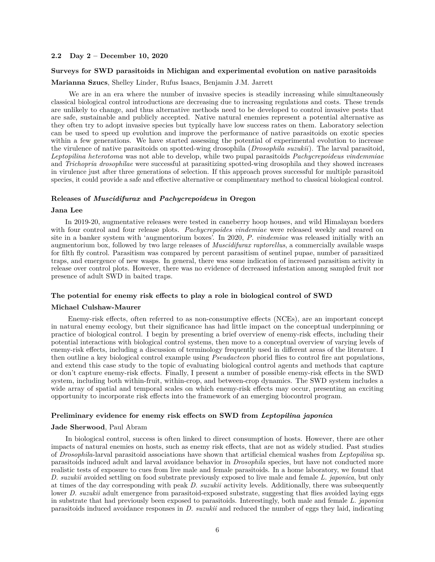## **2.2 Day 2 – December 10, 2020**

## **Surveys for SWD parasitoids in Michigan and experimental evolution on native parasitoids**

**Marianna Szucs**, Shelley Linder, Rufus Isaacs, Benjamin J.M. Jarrett

We are in an era where the number of invasive species is steadily increasing while simultaneously classical biological control introductions are decreasing due to increasing regulations and costs. These trends are unlikely to change, and thus alternative methods need to be developed to control invasive pests that are safe, sustainable and publicly accepted. Native natural enemies represent a potential alternative as they often try to adopt invasive species but typically have low success rates on them. Laboratory selection can be used to speed up evolution and improve the performance of native parasitoids on exotic species within a few generations. We have started assessing the potential of experimental evolution to increase the virulence of native parasitoids on spotted-wing drosophila (*Drosophila suzukii*). The larval parasitoid, *Leptopilina heterotoma* was not able to develop, while two pupal parasitoids *Pachycrepoideus vindemmiae* and *Trichopria drosophilae* were successful at parasitizing spotted-wing drosophila and they showed increases in virulence just after three generations of selection. If this approach proves successful for multiple parasitoid species, it could provide a safe and effective alternative or complimentary method to classical biological control.

## **Releases of** *Muscidifurax* **and** *Pachycrepoideus* **in Oregon**

## **Jana Lee**

In 2019-20, augmentative releases were tested in caneberry hoop houses, and wild Himalayan borders with four control and four release plots. *Pachycrepoides vindemiae* were released weekly and reared on site in a banker system with 'augmentorium boxes'. In 2020, *P. vindemiae* was released initially with an augmentorium box, followed by two large releases of *Muscidifurax raptorellus*, a commercially available wasps for filth fly control. Parasitism was compared by percent parasitism of sentinel pupae, number of parasitized traps, and emergence of new wasps. In general, there was some indication of increased parasitism activity in release over control plots. However, there was no evidence of decreased infestation among sampled fruit nor presence of adult SWD in baited traps.

#### **The potential for enemy risk effects to play a role in biological control of SWD**

#### **Michael Culshaw-Maurer**

Enemy-risk effects, often referred to as non-consumptive effects (NCEs), are an important concept in natural enemy ecology, but their significance has had little impact on the conceptual underpinning or practice of biological control. I begin by presenting a brief overview of enemy-risk effects, including their potential interactions with biological control systems, then move to a conceptual overview of varying levels of enemy-risk effects, including a discussion of terminology frequently used in different areas of the literature. I then outline a key biological control example using *Pseudacteon* phorid flies to control fire ant populations, and extend this case study to the topic of evaluating biological control agents and methods that capture or don't capture enemy-risk effects. Finally, I present a number of possible enemy-risk effects in the SWD system, including both within-fruit, within-crop, and between-crop dynamics. The SWD system includes a wide array of spatial and temporal scales on which enemy-risk effects may occur, presenting an exciting opportunity to incorporate risk effects into the framework of an emerging biocontrol program.

#### **Preliminary evidence for enemy risk effects on SWD from** *Leptopilina japonica*

#### **Jade Sherwood**, Paul Abram

In biological control, success is often linked to direct consumption of hosts. However, there are other impacts of natural enemies on hosts, such as enemy risk effects, that are not as widely studied. Past studies of *Drosophila*-larval parasitoid associations have shown that artificial chemical washes from *Leptopilina* sp. parasitoids induced adult and larval avoidance behavior in *Drosophila* species, but have not conducted more realistic tests of exposure to cues from live male and female parasitoids. In a home laboratory, we found that *D. suzukii* avoided settling on food substrate previously exposed to live male and female *L. japonica*, but only at times of the day corresponding with peak *D. suzukii* activity levels. Additionally, there was subsequently lower *D. suzukii* adult emergence from parasitoid-exposed substrate, suggesting that flies avoided laying eggs in substrate that had previously been exposed to parasitoids. Interestingly, both male and female *L. japonica* parasitoids induced avoidance responses in *D. suzukii* and reduced the number of eggs they laid, indicating